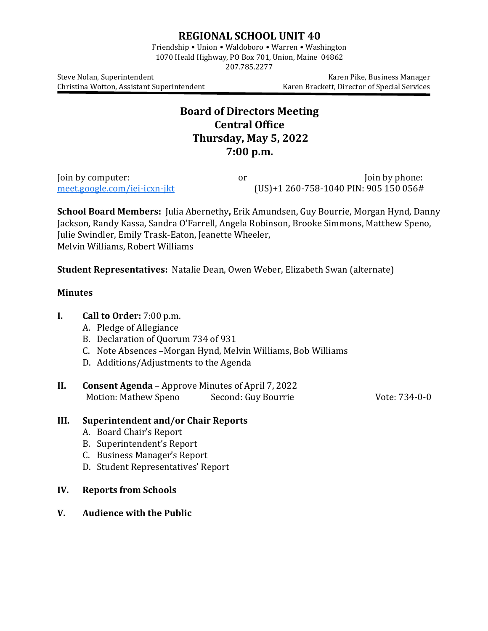## **REGIONAL SCHOOL UNIT 40**

Friendship • Union • Waldoboro • Warren • Washington 1070 Heald Highway, PO Box 701, Union, Maine 04862

207.785.2277

Christina Wotton, Assistant Superintendent

Steve Nolan, Superintendent<br>Christina Wotton, Assistant Superintendent (Karen Brackett, Director of Special Services

# **Board of Directors Meeting Central Office Thursday, May 5, 2022 7:00 p.m.**

Join by computer:  $J$ oin by computer:  $J$ or  $J$ oin by phone:  $J$ oin by phone:  $J$ oin by phone:  $J$ oin by phone:  $J$ oin by phone:  $J$ oin by phone:  $J$ oin by phone:  $J$ oin by phone:  $J$ oin by phone:  $J$ oin by phone:  $J$ oin b  $(US)+1 260-758-1040$  $(US)+1 260-758-1040$  PIN: 905 150 056#

**School Board Members:** Julia Abernethy**,** Erik Amundsen, Guy Bourrie, Morgan Hynd, Danny Jackson, Randy Kassa, Sandra O'Farrell, Angela Robinson, Brooke Simmons, Matthew Speno, Julie Swindler, Emily Trask-Eaton, Jeanette Wheeler, Melvin Williams, Robert Williams

**Student Representatives:** Natalie Dean, Owen Weber, Elizabeth Swan (alternate)

#### **Minutes**

#### **I. Call to Order:** 7:00 p.m.

- A. Pledge of Allegiance
- B. Declaration of Quorum 734 of 931
- C. Note Absences –Morgan Hynd, Melvin Williams, Bob Williams
- D. Additions/Adjustments to the Agenda
- **II. Consent Agenda** Approve Minutes of April 7, 2022<br>Motion: Mathew Speno Second: Guy Bourrie Motion: Mathew Speno Second: Guy Bourrie Vote: 734-0-0

### **III. Superintendent and/or Chair Reports**

- A. Board Chair's Report
- B. Superintendent's Report
- C. Business Manager's Report
- D. Student Representatives' Report
- **IV. Reports from Schools**
- **V. Audience with the Public**